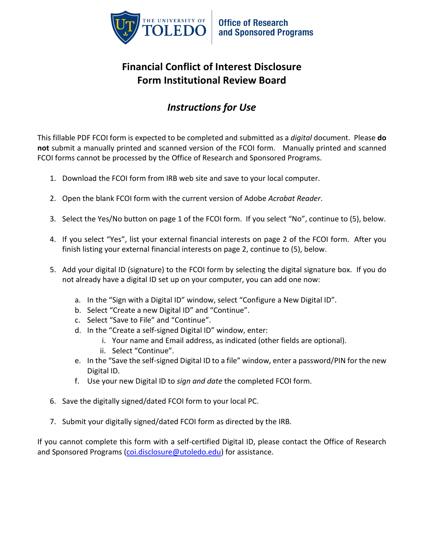

## **Financial Conflict of Interest Disclosure Form Institutional Review Board**

## *Instructions for Use*

This fillable PDF FCOI form is expected to be completed and submitted as a *digital* document. Please **do not** submit a manually printed and scanned version of the FCOI form. Manually printed and scanned FCOI forms cannot be processed by the Office of Research and Sponsored Programs.

- 1. Download the FCOI form from IRB web site and save to your local computer.
- 2. Open the blank FCOI form with the current version of Adobe *Acrobat Reader*.
- 3. Select the Yes/No button on page 1 of the FCOI form. If you select "No", continue to (5), below.
- 4. If you select "Yes", list your external financial interests on page 2 of the FCOI form. After you finish listing your external financial interests on page 2, continue to (5), below.
- 5. Add your digital ID (signature) to the FCOI form by selecting the digital signature box. If you do not already have a digital ID set up on your computer, you can add one now:
	- a. In the "Sign with a Digital ID" window, select "Configure a New Digital ID".
	- b. Select "Create a new Digital ID" and "Continue".
	- c. Select "Save to File" and "Continue".
	- d. In the "Create a self-signed Digital ID" window, enter:
		- i. Your name and Email address, as indicated (other fields are optional).
		- ii. Select "Continue".
	- e. In the "Save the self-signed Digital ID to a file" window, enter a password/PIN for the new Digital ID.
	- f. Use your new Digital ID to *sign and date* the completed FCOI form.
- 6. Save the digitally signed/dated FCOI form to your local PC.
- 7. Submit your digitally signed/dated FCOI form as directed by the IRB.

If you cannot complete this form with a self-certified Digital ID, please contact the Office of Research and Sponsored Programs [\(coi.disclosure@utoledo.edu\)](mailto:coi.disclosure@utoledo.edu) for assistance.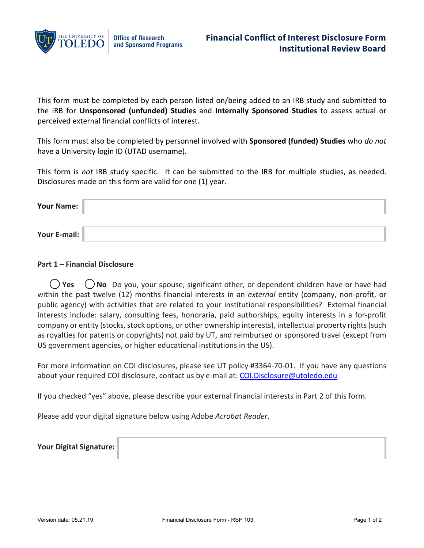

This form must be completed by each person listed on/being added to an IRB study and submitted to the IRB for **Unsponsored (unfunded) Studies** and **Internally Sponsored Studies** to assess actual or perceived external financial conflicts of interest.

This form must also be completed by personnel involved with **Sponsored (funded) Studies** who *do not* have a University login ID (UTAD username).

This form is *not* IRB study specific. It can be submitted to the IRB for multiple studies, as needed. Disclosures made on this form are valid for one (1) year.

| Your Name:   |  |
|--------------|--|
|              |  |
| Your E-mail: |  |

## **Part 1 – Financial Disclosure**

**() Yes**  $\binom{1}{k}$  No Do you, your spouse, significant other, or dependent children have or have had within the past twelve (12) months financial interests in an *external* entity (company, non-profit, or public agency) with activities that are related to your institutional responsibilities? External financial interests include: salary, consulting fees, honoraria, paid authorships, equity interests in a for-profit company or entity (stocks, stock options, or other ownership interests), intellectual property rights (such as royalties for patents or copyrights) not paid by UT, and reimbursed or sponsored travel (except from US government agencies, or higher educational institutions in the US).

For more information on COI disclosures, please see UT policy #3364-70-01. If you have any questions about your required COI disclosure, contact us by e-mail at: [COI.Disclosure@utoledo.edu](mailto:COI.Disclosure@utoledo.edu)

If you checked "yes" above, please describe your external financial interests in Part 2 of this form.

Please add your digital signature below using Adobe *Acrobat Reader*.

| Your Digital Signature: |  |
|-------------------------|--|
|-------------------------|--|